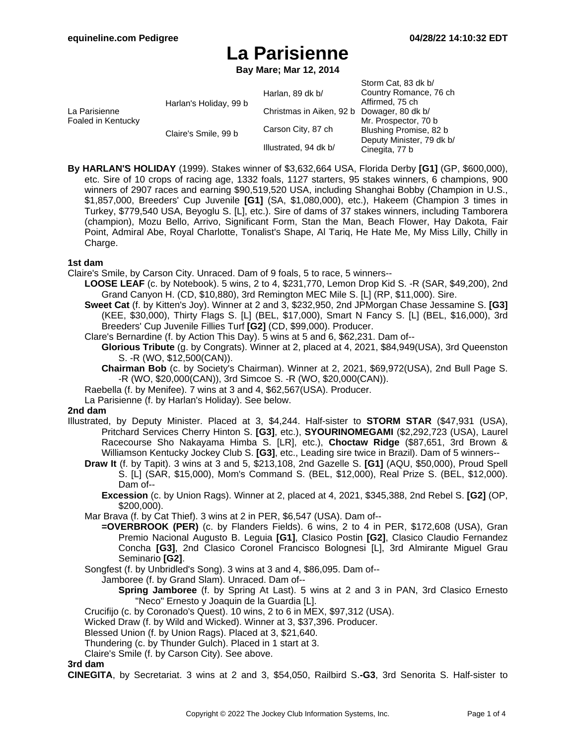$C_{\text{form}}$   $C_{\text{at}}$ , 83 dk b/

# **La Parisienne**

**Bay Mare; Mar 12, 2014**

|                                     |                        |                                            | <b>JIUIIII CAL OJ UN DI</b> |
|-------------------------------------|------------------------|--------------------------------------------|-----------------------------|
| La Parisienne<br>Foaled in Kentucky | Harlan's Holiday, 99 b | Harlan, 89 dk b/                           | Country Romance, 76 ch      |
|                                     |                        |                                            | Affirmed, 75 ch             |
|                                     |                        | Christmas in Aiken, 92 b Dowager, 80 dk b/ |                             |
|                                     | Claire's Smile, 99 b   | Carson City, 87 ch                         | Mr. Prospector, 70 b        |
|                                     |                        |                                            | Blushing Promise, 82 b      |
|                                     |                        |                                            | Deputy Minister, 79 dk b/   |
|                                     |                        | Illustrated, 94 dk b/                      | Cinegita, 77 b              |
|                                     |                        |                                            |                             |

**By HARLAN'S HOLIDAY** (1999). Stakes winner of \$3,632,664 USA, Florida Derby **[G1]** (GP, \$600,000), etc. Sire of 10 crops of racing age, 1332 foals, 1127 starters, 95 stakes winners, 6 champions, 900 winners of 2907 races and earning \$90,519,520 USA, including Shanghai Bobby (Champion in U.S., \$1,857,000, Breeders' Cup Juvenile **[G1]** (SA, \$1,080,000), etc.), Hakeem (Champion 3 times in Turkey, \$779,540 USA, Beyoglu S. [L], etc.). Sire of dams of 37 stakes winners, including Tamborera (champion), Mozu Bello, Arrivo, Significant Form, Stan the Man, Beach Flower, Hay Dakota, Fair Point, Admiral Abe, Royal Charlotte, Tonalist's Shape, Al Tariq, He Hate Me, My Miss Lilly, Chilly in Charge.

### **1st dam**

Claire's Smile, by Carson City. Unraced. Dam of 9 foals, 5 to race, 5 winners--

- **LOOSE LEAF** (c. by Notebook). 5 wins, 2 to 4, \$231,770, Lemon Drop Kid S. -R (SAR, \$49,200), 2nd Grand Canyon H. (CD, \$10,880), 3rd Remington MEC Mile S. [L] (RP, \$11,000). Sire.
	- **Sweet Cat** (f. by Kitten's Joy). Winner at 2 and 3, \$232,950, 2nd JPMorgan Chase Jessamine S. **[G3]** (KEE, \$30,000), Thirty Flags S. [L] (BEL, \$17,000), Smart N Fancy S. [L] (BEL, \$16,000), 3rd Breeders' Cup Juvenile Fillies Turf **[G2]** (CD, \$99,000). Producer.
	- Clare's Bernardine (f. by Action This Day). 5 wins at 5 and 6, \$62,231. Dam of--
		- **Glorious Tribute** (g. by Congrats). Winner at 2, placed at 4, 2021, \$84,949(USA), 3rd Queenston S. -R (WO, \$12,500(CAN)).
		- **Chairman Bob** (c. by Society's Chairman). Winner at 2, 2021, \$69,972(USA), 2nd Bull Page S. -R (WO, \$20,000(CAN)), 3rd Simcoe S. -R (WO, \$20,000(CAN)).
	- Raebella (f. by Menifee). 7 wins at 3 and 4, \$62,567(USA). Producer.
	- La Parisienne (f. by Harlan's Holiday). See below.

### **2nd dam**

- Illustrated, by Deputy Minister. Placed at 3, \$4,244. Half-sister to **STORM STAR** (\$47,931 (USA), Pritchard Services Cherry Hinton S. **[G3]**, etc.), **SYOURINOMEGAMI** (\$2,292,723 (USA), Laurel Racecourse Sho Nakayama Himba S. [LR], etc.), **Choctaw Ridge** (\$87,651, 3rd Brown & Williamson Kentucky Jockey Club S. **[G3]**, etc., Leading sire twice in Brazil). Dam of 5 winners--
	- **Draw It** (f. by Tapit). 3 wins at 3 and 5, \$213,108, 2nd Gazelle S. **[G1]** (AQU, \$50,000), Proud Spell S. [L] (SAR, \$15,000), Mom's Command S. (BEL, \$12,000), Real Prize S. (BEL, \$12,000). Dam of--
		- **Excession** (c. by Union Rags). Winner at 2, placed at 4, 2021, \$345,388, 2nd Rebel S. **[G2]** (OP, \$200,000).

Mar Brava (f. by Cat Thief). 3 wins at 2 in PER, \$6,547 (USA). Dam of--

- **=OVERBROOK (PER)** (c. by Flanders Fields). 6 wins, 2 to 4 in PER, \$172,608 (USA), Gran Premio Nacional Augusto B. Leguia **[G1]**, Clasico Postin **[G2]**, Clasico Claudio Fernandez Concha **[G3]**, 2nd Clasico Coronel Francisco Bolognesi [L], 3rd Almirante Miguel Grau Seminario **[G2]**.
- Songfest (f. by Unbridled's Song). 3 wins at 3 and 4, \$86,095. Dam of--

Jamboree (f. by Grand Slam). Unraced. Dam of--

- **Spring Jamboree** (f. by Spring At Last). 5 wins at 2 and 3 in PAN, 3rd Clasico Ernesto "Neco" Ernesto y Joaquin de la Guardia [L].
- Crucifijo (c. by Coronado's Quest). 10 wins, 2 to 6 in MEX, \$97,312 (USA).
- Wicked Draw (f. by Wild and Wicked). Winner at 3, \$37,396. Producer.
- Blessed Union (f. by Union Rags). Placed at 3, \$21,640.
- Thundering (c. by Thunder Gulch). Placed in 1 start at 3.
- Claire's Smile (f. by Carson City). See above.

### **3rd dam**

**CINEGITA**, by Secretariat. 3 wins at 2 and 3, \$54,050, Railbird S.**-G3**, 3rd Senorita S. Half-sister to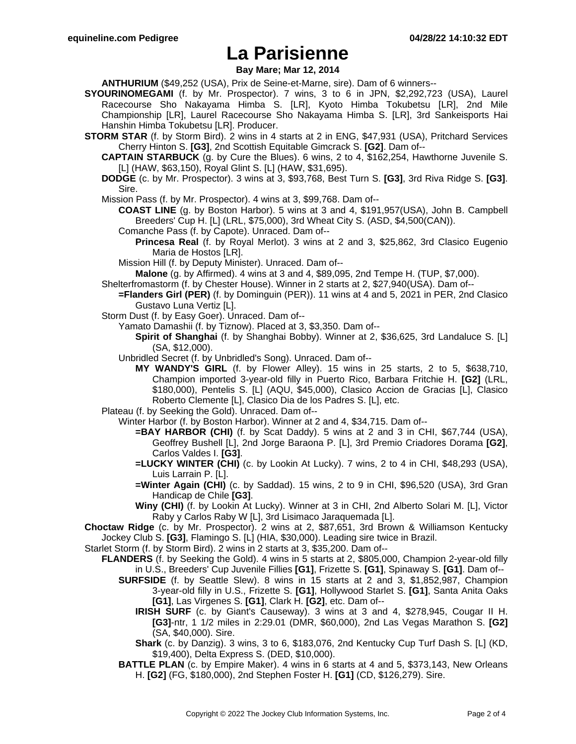## **La Parisienne**

**Bay Mare; Mar 12, 2014**

**ANTHURIUM** (\$49,252 (USA), Prix de Seine-et-Marne, sire). Dam of 6 winners--

- **SYOURINOMEGAMI** (f. by Mr. Prospector). 7 wins, 3 to 6 in JPN, \$2,292,723 (USA), Laurel Racecourse Sho Nakayama Himba S. [LR], Kyoto Himba Tokubetsu [LR], 2nd Mile Championship [LR], Laurel Racecourse Sho Nakayama Himba S. [LR], 3rd Sankeisports Hai Hanshin Himba Tokubetsu [LR]. Producer.
- **STORM STAR** (f. by Storm Bird). 2 wins in 4 starts at 2 in ENG, \$47,931 (USA), Pritchard Services Cherry Hinton S. **[G3]**, 2nd Scottish Equitable Gimcrack S. **[G2]**. Dam of--
	- **CAPTAIN STARBUCK** (g. by Cure the Blues). 6 wins, 2 to 4, \$162,254, Hawthorne Juvenile S. [L] (HAW, \$63,150), Royal Glint S. [L] (HAW, \$31,695).
	- **DODGE** (c. by Mr. Prospector). 3 wins at 3, \$93,768, Best Turn S. **[G3]**, 3rd Riva Ridge S. **[G3]**. Sire.

Mission Pass (f. by Mr. Prospector). 4 wins at 3, \$99,768. Dam of--

**COAST LINE** (g. by Boston Harbor). 5 wins at 3 and 4, \$191,957(USA), John B. Campbell Breeders' Cup H. [L] (LRL, \$75,000), 3rd Wheat City S. (ASD, \$4,500(CAN)).

- Comanche Pass (f. by Capote). Unraced. Dam of--
	- **Princesa Real** (f. by Royal Merlot). 3 wins at 2 and 3, \$25,862, 3rd Clasico Eugenio Maria de Hostos [LR].

Mission Hill (f. by Deputy Minister). Unraced. Dam of--

**Malone** (g. by Affirmed). 4 wins at 3 and 4, \$89,095, 2nd Tempe H. (TUP, \$7,000).

- Shelterfromastorm (f. by Chester House). Winner in 2 starts at 2, \$27,940(USA). Dam of--
	- **=Flanders Girl (PER)** (f. by Dominguin (PER)). 11 wins at 4 and 5, 2021 in PER, 2nd Clasico Gustavo Luna Vertiz [L].
- Storm Dust (f. by Easy Goer). Unraced. Dam of--

Yamato Damashii (f. by Tiznow). Placed at 3, \$3,350. Dam of--

- **Spirit of Shanghai** (f. by Shanghai Bobby). Winner at 2, \$36,625, 3rd Landaluce S. [L] (SA, \$12,000).
- Unbridled Secret (f. by Unbridled's Song). Unraced. Dam of--
	- **MY WANDY'S GIRL** (f. by Flower Alley). 15 wins in 25 starts, 2 to 5, \$638,710, Champion imported 3-year-old filly in Puerto Rico, Barbara Fritchie H. **[G2]** (LRL, \$180,000), Pentelis S. [L] (AQU, \$45,000), Clasico Accion de Gracias [L], Clasico Roberto Clemente [L], Clasico Dia de los Padres S. [L], etc.
- Plateau (f. by Seeking the Gold). Unraced. Dam of--
	- Winter Harbor (f. by Boston Harbor). Winner at 2 and 4, \$34,715. Dam of--
		- **=BAY HARBOR (CHI)** (f. by Scat Daddy). 5 wins at 2 and 3 in CHI, \$67,744 (USA), Geoffrey Bushell [L], 2nd Jorge Baraona P. [L], 3rd Premio Criadores Dorama **[G2]**, Carlos Valdes I. **[G3]**.
		- **=LUCKY WINTER (CHI)** (c. by Lookin At Lucky). 7 wins, 2 to 4 in CHI, \$48,293 (USA), Luis Larrain P. [L].
		- **=Winter Again (CHI)** (c. by Saddad). 15 wins, 2 to 9 in CHI, \$96,520 (USA), 3rd Gran Handicap de Chile **[G3]**.
		- **Winy (CHI)** (f. by Lookin At Lucky). Winner at 3 in CHI, 2nd Alberto Solari M. [L], Victor Raby y Carlos Raby W [L], 3rd Lisimaco Jaraquemada [L].

**Choctaw Ridge** (c. by Mr. Prospector). 2 wins at 2, \$87,651, 3rd Brown & Williamson Kentucky Jockey Club S. **[G3]**, Flamingo S. [L] (HIA, \$30,000). Leading sire twice in Brazil.

Starlet Storm (f. by Storm Bird). 2 wins in 2 starts at 3, \$35,200. Dam of--

- **FLANDERS** (f. by Seeking the Gold). 4 wins in 5 starts at 2, \$805,000, Champion 2-year-old filly in U.S., Breeders' Cup Juvenile Fillies **[G1]**, Frizette S. **[G1]**, Spinaway S. **[G1]**. Dam of--
	- **SURFSIDE** (f. by Seattle Slew). 8 wins in 15 starts at 2 and 3, \$1,852,987, Champion 3-year-old filly in U.S., Frizette S. **[G1]**, Hollywood Starlet S. **[G1]**, Santa Anita Oaks **[G1]**, Las Virgenes S. **[G1]**, Clark H. **[G2]**, etc. Dam of--
		- **IRISH SURF** (c. by Giant's Causeway). 3 wins at 3 and 4, \$278,945, Cougar II H. **[G3]**-ntr, 1 1/2 miles in 2:29.01 (DMR, \$60,000), 2nd Las Vegas Marathon S. **[G2]** (SA, \$40,000). Sire.
		- **Shark** (c. by Danzig). 3 wins, 3 to 6, \$183,076, 2nd Kentucky Cup Turf Dash S. [L] (KD, \$19,400), Delta Express S. (DED, \$10,000).
	- **BATTLE PLAN** (c. by Empire Maker). 4 wins in 6 starts at 4 and 5, \$373,143, New Orleans H. **[G2]** (FG, \$180,000), 2nd Stephen Foster H. **[G1]** (CD, \$126,279). Sire.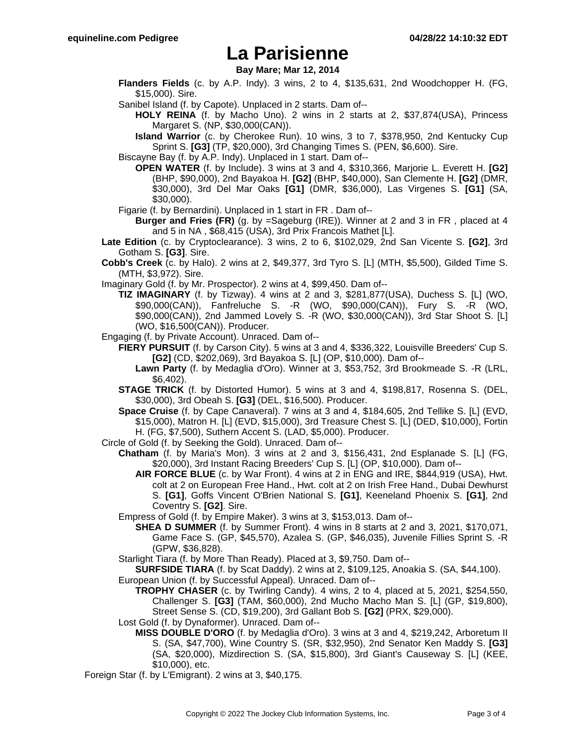### **La Parisienne**

**Bay Mare; Mar 12, 2014**

**Flanders Fields** (c. by A.P. Indy). 3 wins, 2 to 4, \$135,631, 2nd Woodchopper H. (FG, \$15,000). Sire.

Sanibel Island (f. by Capote). Unplaced in 2 starts. Dam of--

**HOLY REINA** (f. by Macho Uno). 2 wins in 2 starts at 2, \$37,874(USA), Princess Margaret S. (NP, \$30,000(CAN)).

**Island Warrior** (c. by Cherokee Run). 10 wins, 3 to 7, \$378,950, 2nd Kentucky Cup Sprint S. **[G3]** (TP, \$20,000), 3rd Changing Times S. (PEN, \$6,600). Sire.

Biscayne Bay (f. by A.P. Indy). Unplaced in 1 start. Dam of--

- **OPEN WATER** (f. by Include). 3 wins at 3 and 4, \$310,366, Marjorie L. Everett H. **[G2]** (BHP, \$90,000), 2nd Bayakoa H. **[G2]** (BHP, \$40,000), San Clemente H. **[G2]** (DMR, \$30,000), 3rd Del Mar Oaks **[G1]** (DMR, \$36,000), Las Virgenes S. **[G1]** (SA, \$30,000).
- Figarie (f. by Bernardini). Unplaced in 1 start in FR . Dam of--

**Burger and Fries (FR)** (g. by =Sageburg (IRE)). Winner at 2 and 3 in FR , placed at 4 and 5 in NA , \$68,415 (USA), 3rd Prix Francois Mathet [L].

**Late Edition** (c. by Cryptoclearance). 3 wins, 2 to 6, \$102,029, 2nd San Vicente S. **[G2]**, 3rd Gotham S. **[G3]**. Sire.

**Cobb's Creek** (c. by Halo). 2 wins at 2, \$49,377, 3rd Tyro S. [L] (MTH, \$5,500), Gilded Time S. (MTH, \$3,972). Sire.

Imaginary Gold (f. by Mr. Prospector). 2 wins at 4, \$99,450. Dam of--

**TIZ IMAGINARY** (f. by Tizway). 4 wins at 2 and 3, \$281,877(USA), Duchess S. [L] (WO, \$90,000(CAN)), Fanfreluche S. -R (WO, \$90,000(CAN)), Fury S. -R (WO, \$90,000(CAN)), 2nd Jammed Lovely S. -R (WO, \$30,000(CAN)), 3rd Star Shoot S. [L] (WO, \$16,500(CAN)). Producer.

Engaging (f. by Private Account). Unraced. Dam of--

**FIERY PURSUIT** (f. by Carson City). 5 wins at 3 and 4, \$336,322, Louisville Breeders' Cup S. **[G2]** (CD, \$202,069), 3rd Bayakoa S. [L] (OP, \$10,000). Dam of--

**Lawn Party** (f. by Medaglia d'Oro). Winner at 3, \$53,752, 3rd Brookmeade S. -R (LRL, \$6,402).

**STAGE TRICK** (f. by Distorted Humor). 5 wins at 3 and 4, \$198,817, Rosenna S. (DEL, \$30,000), 3rd Obeah S. **[G3]** (DEL, \$16,500). Producer.

**Space Cruise** (f. by Cape Canaveral). 7 wins at 3 and 4, \$184,605, 2nd Tellike S. [L] (EVD, \$15,000), Matron H. [L] (EVD, \$15,000), 3rd Treasure Chest S. [L] (DED, \$10,000), Fortin H. (FG, \$7,500), Suthern Accent S. (LAD, \$5,000). Producer.

- Circle of Gold (f. by Seeking the Gold). Unraced. Dam of--
	- **Chatham** (f. by Maria's Mon). 3 wins at 2 and 3, \$156,431, 2nd Esplanade S. [L] (FG, \$20,000), 3rd Instant Racing Breeders' Cup S. [L] (OP, \$10,000). Dam of--
		- **AIR FORCE BLUE** (c. by War Front). 4 wins at 2 in ENG and IRE, \$844,919 (USA), Hwt. colt at 2 on European Free Hand., Hwt. colt at 2 on Irish Free Hand., Dubai Dewhurst S. **[G1]**, Goffs Vincent O'Brien National S. **[G1]**, Keeneland Phoenix S. **[G1]**, 2nd Coventry S. **[G2]**. Sire.

Empress of Gold (f. by Empire Maker). 3 wins at 3, \$153,013. Dam of--

**SHEA D SUMMER** (f. by Summer Front). 4 wins in 8 starts at 2 and 3, 2021, \$170,071, Game Face S. (GP, \$45,570), Azalea S. (GP, \$46,035), Juvenile Fillies Sprint S. -R (GPW, \$36,828).

Starlight Tiara (f. by More Than Ready). Placed at 3, \$9,750. Dam of--

- **SURFSIDE TIARA** (f. by Scat Daddy). 2 wins at 2, \$109,125, Anoakia S. (SA, \$44,100). European Union (f. by Successful Appeal). Unraced. Dam of--
	- **TROPHY CHASER** (c. by Twirling Candy). 4 wins, 2 to 4, placed at 5, 2021, \$254,550, Challenger S. **[G3]** (TAM, \$60,000), 2nd Mucho Macho Man S. [L] (GP, \$19,800), Street Sense S. (CD, \$19,200), 3rd Gallant Bob S. **[G2]** (PRX, \$29,000).

Lost Gold (f. by Dynaformer). Unraced. Dam of--

**MISS DOUBLE D'ORO** (f. by Medaglia d'Oro). 3 wins at 3 and 4, \$219,242, Arboretum II S. (SA, \$47,700), Wine Country S. (SR, \$32,950), 2nd Senator Ken Maddy S. **[G3]** (SA, \$20,000), Mizdirection S. (SA, \$15,800), 3rd Giant's Causeway S. [L] (KEE, \$10,000), etc.

Foreign Star (f. by L'Emigrant). 2 wins at 3, \$40,175.